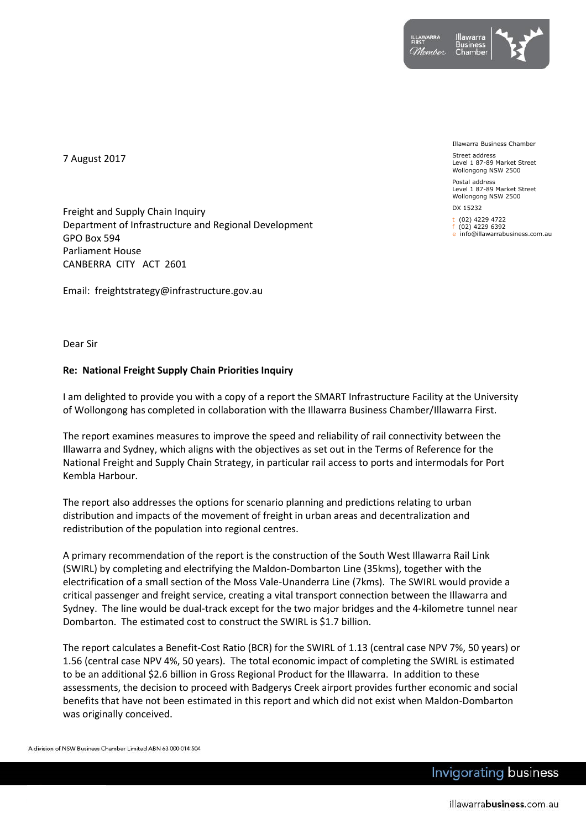

7 August 2017

Freight and Supply Chain Inquiry Department of Infrastructure and Regional Development GPO Box 594 Parliament House CANBERRA CITY ACT 2601

Email: freightstrategy@infrastructure.gov.au

Illawarra Business Chamber

Street address Level 1 87-89 Market Street Wollongong NSW 2500

Postal address Level 1 87-89 Market Street Wollongong NSW 2500

DX 15232

t (02) 4229 4722  $(02)$  4229 6392

e info@illawarrabusiness.com.au

Dear Sir

## **Re: National Freight Supply Chain Priorities Inquiry**

I am delighted to provide you with a copy of a report the SMART Infrastructure Facility at the University of Wollongong has completed in collaboration with the Illawarra Business Chamber/Illawarra First.

The report examines measures to improve the speed and reliability of rail connectivity between the Illawarra and Sydney, which aligns with the objectives as set out in the Terms of Reference for the National Freight and Supply Chain Strategy, in particular rail access to ports and intermodals for Port Kembla Harbour.

The report also addresses the options for scenario planning and predictions relating to urban distribution and impacts of the movement of freight in urban areas and decentralization and redistribution of the population into regional centres.

A primary recommendation of the report is the construction of the South West Illawarra Rail Link (SWIRL) by completing and electrifying the Maldon-Dombarton Line (35kms), together with the electrification of a small section of the Moss Vale-Unanderra Line (7kms). The SWIRL would provide a critical passenger and freight service, creating a vital transport connection between the Illawarra and Sydney. The line would be dual-track except for the two major bridges and the 4-kilometre tunnel near Dombarton. The estimated cost to construct the SWIRL is \$1.7 billion.

The report calculates a Benefit-Cost Ratio (BCR) for the SWIRL of 1.13 (central case NPV 7%, 50 years) or 1.56 (central case NPV 4%, 50 years). The total economic impact of completing the SWIRL is estimated to be an additional \$2.6 billion in Gross Regional Product for the Illawarra. In addition to these assessments, the decision to proceed with Badgerys Creek airport provides further economic and social benefits that have not been estimated in this report and which did not exist when Maldon-Dombarton was originally conceived.

A division of NSW Business Chamber Limited ABN 63 000 014 504